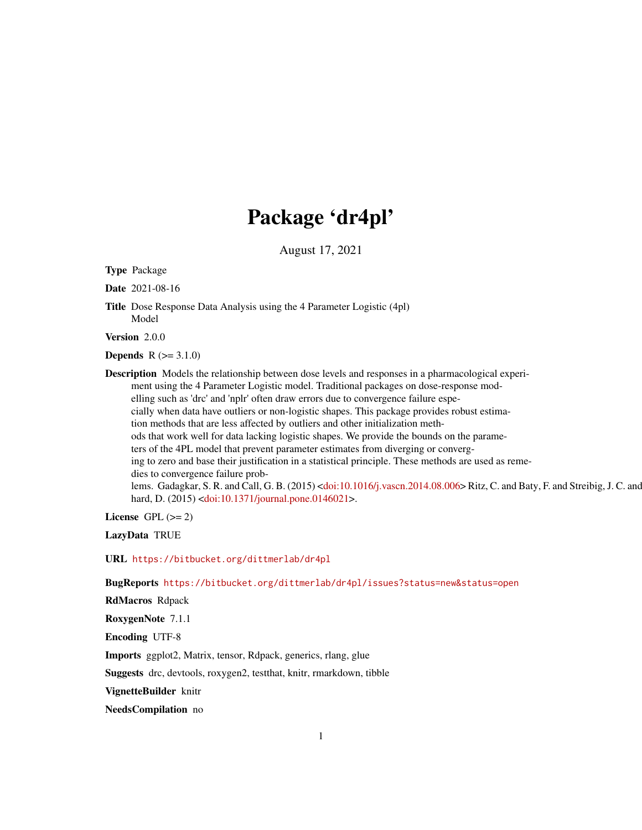# Package 'dr4pl'

August 17, 2021

<span id="page-0-0"></span>Type Package

Date 2021-08-16

Title Dose Response Data Analysis using the 4 Parameter Logistic (4pl) Model

Version 2.0.0

**Depends**  $R (= 3.1.0)$ 

Description Models the relationship between dose levels and responses in a pharmacological experiment using the 4 Parameter Logistic model. Traditional packages on dose-response modelling such as 'drc' and 'nplr' often draw errors due to convergence failure especially when data have outliers or non-logistic shapes. This package provides robust estimation methods that are less affected by outliers and other initialization methods that work well for data lacking logistic shapes. We provide the bounds on the parameters of the 4PL model that prevent parameter estimates from diverging or converging to zero and base their justification in a statistical principle. These methods are used as remedies to convergence failure prob-lems. Gadagkar, S. R. and Call, G. B. (2015) [<doi:10.1016/j.vascn.2014.08.006>](https://doi.org/10.1016/j.vascn.2014.08.006) Ritz, C. and Baty, F. and Streibig, J. C. and hard, D. (2015) [<doi:10.1371/journal.pone.0146021>](https://doi.org/10.1371/journal.pone.0146021).

License GPL  $(>= 2)$ 

LazyData TRUE

URL <https://bitbucket.org/dittmerlab/dr4pl>

BugReports <https://bitbucket.org/dittmerlab/dr4pl/issues?status=new&status=open>

RdMacros Rdpack

RoxygenNote 7.1.1

Encoding UTF-8

Imports ggplot2, Matrix, tensor, Rdpack, generics, rlang, glue

Suggests drc, devtools, roxygen2, testthat, knitr, rmarkdown, tibble

VignetteBuilder knitr

NeedsCompilation no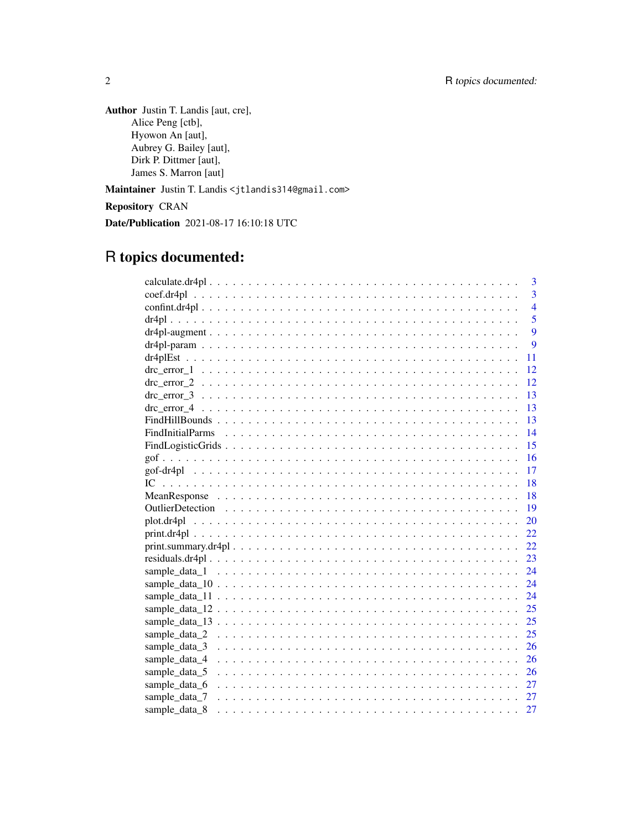Author Justin T. Landis [aut, cre], Alice Peng [ctb], Hyowon An [aut], Aubrey G. Bailey [aut], Dirk P. Dittmer [aut], James S. Marron [aut]

Maintainer Justin T. Landis <jtlandis314@gmail.com>

Repository CRAN

Date/Publication 2021-08-17 16:10:18 UTC

# R topics documented:

|                 |  |  |  |  |  |  |  |  |  |  |  |  |  |  |  |  |  | 3              |
|-----------------|--|--|--|--|--|--|--|--|--|--|--|--|--|--|--|--|--|----------------|
|                 |  |  |  |  |  |  |  |  |  |  |  |  |  |  |  |  |  | $\overline{3}$ |
|                 |  |  |  |  |  |  |  |  |  |  |  |  |  |  |  |  |  | $\overline{4}$ |
|                 |  |  |  |  |  |  |  |  |  |  |  |  |  |  |  |  |  | 5              |
|                 |  |  |  |  |  |  |  |  |  |  |  |  |  |  |  |  |  | 9              |
|                 |  |  |  |  |  |  |  |  |  |  |  |  |  |  |  |  |  | 9              |
|                 |  |  |  |  |  |  |  |  |  |  |  |  |  |  |  |  |  | 11             |
|                 |  |  |  |  |  |  |  |  |  |  |  |  |  |  |  |  |  | 12             |
|                 |  |  |  |  |  |  |  |  |  |  |  |  |  |  |  |  |  | 12             |
|                 |  |  |  |  |  |  |  |  |  |  |  |  |  |  |  |  |  | 13             |
|                 |  |  |  |  |  |  |  |  |  |  |  |  |  |  |  |  |  | 13             |
|                 |  |  |  |  |  |  |  |  |  |  |  |  |  |  |  |  |  | 13             |
|                 |  |  |  |  |  |  |  |  |  |  |  |  |  |  |  |  |  | 14             |
|                 |  |  |  |  |  |  |  |  |  |  |  |  |  |  |  |  |  | 15             |
|                 |  |  |  |  |  |  |  |  |  |  |  |  |  |  |  |  |  | 16             |
|                 |  |  |  |  |  |  |  |  |  |  |  |  |  |  |  |  |  | 17             |
|                 |  |  |  |  |  |  |  |  |  |  |  |  |  |  |  |  |  | 18             |
|                 |  |  |  |  |  |  |  |  |  |  |  |  |  |  |  |  |  | 18             |
|                 |  |  |  |  |  |  |  |  |  |  |  |  |  |  |  |  |  | - 19           |
|                 |  |  |  |  |  |  |  |  |  |  |  |  |  |  |  |  |  | 20             |
|                 |  |  |  |  |  |  |  |  |  |  |  |  |  |  |  |  |  | 22             |
|                 |  |  |  |  |  |  |  |  |  |  |  |  |  |  |  |  |  | 22             |
| residuals.dr4pl |  |  |  |  |  |  |  |  |  |  |  |  |  |  |  |  |  | 23             |
|                 |  |  |  |  |  |  |  |  |  |  |  |  |  |  |  |  |  | 24             |
|                 |  |  |  |  |  |  |  |  |  |  |  |  |  |  |  |  |  | 24             |
|                 |  |  |  |  |  |  |  |  |  |  |  |  |  |  |  |  |  | 24             |
|                 |  |  |  |  |  |  |  |  |  |  |  |  |  |  |  |  |  | 25             |
|                 |  |  |  |  |  |  |  |  |  |  |  |  |  |  |  |  |  | 25             |
|                 |  |  |  |  |  |  |  |  |  |  |  |  |  |  |  |  |  | 25             |
| sample_data_3   |  |  |  |  |  |  |  |  |  |  |  |  |  |  |  |  |  | 26             |
| sample_data_4   |  |  |  |  |  |  |  |  |  |  |  |  |  |  |  |  |  | 26             |
| sample_data_5   |  |  |  |  |  |  |  |  |  |  |  |  |  |  |  |  |  | 26             |
| sample_data_6   |  |  |  |  |  |  |  |  |  |  |  |  |  |  |  |  |  | 27             |
| sample_data_7   |  |  |  |  |  |  |  |  |  |  |  |  |  |  |  |  |  |                |
| sample data 8   |  |  |  |  |  |  |  |  |  |  |  |  |  |  |  |  |  | 27             |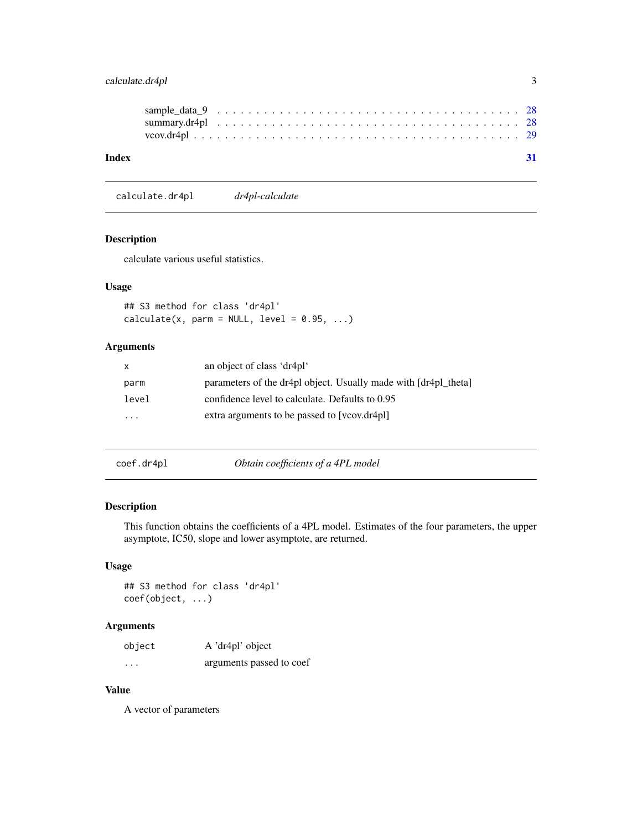# <span id="page-2-0"></span>calculate.dr4pl 3

| Index |  |  |  |  |  |  |  |  |  |  |  |  |  |  |  |  |  |  |  |
|-------|--|--|--|--|--|--|--|--|--|--|--|--|--|--|--|--|--|--|--|
|       |  |  |  |  |  |  |  |  |  |  |  |  |  |  |  |  |  |  |  |
|       |  |  |  |  |  |  |  |  |  |  |  |  |  |  |  |  |  |  |  |

calculate.dr4pl *dr4pl-calculate*

# Description

calculate various useful statistics.

# Usage

## S3 method for class 'dr4pl'  $calculate(x, parm = NULL, level = 0.95, ...)$ 

# Arguments

| $\mathsf{X}$ | an object of class 'dr4pl'                                      |
|--------------|-----------------------------------------------------------------|
| parm         | parameters of the dr4pl object. Usually made with [dr4pl_theta] |
| level        | confidence level to calculate. Defaults to 0.95                 |
| .            | extra arguments to be passed to [vcov.dr4pl]                    |
|              |                                                                 |

coef.dr4pl *Obtain coefficients of a 4PL model*

# Description

This function obtains the coefficients of a 4PL model. Estimates of the four parameters, the upper asymptote, IC50, slope and lower asymptote, are returned.

# Usage

## S3 method for class 'dr4pl' coef(object, ...)

# Arguments

| object   | A 'dr4pl' object         |
|----------|--------------------------|
| $\cdots$ | arguments passed to coef |

# Value

A vector of parameters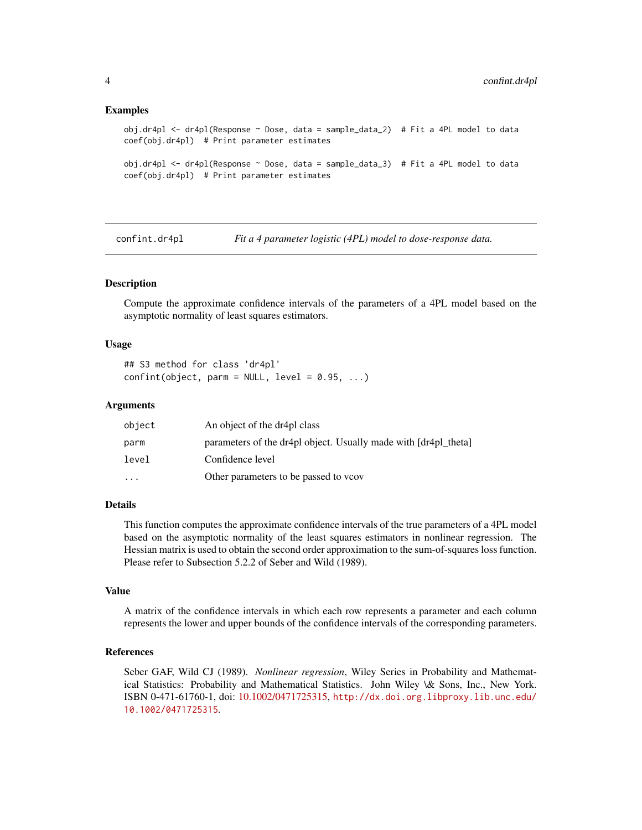#### <span id="page-3-0"></span>Examples

```
obj.dr4pl <- dr4pl(Response ~ Dose, data = sample_data_2) # Fit a 4PL model to data
coef(obj.dr4pl) # Print parameter estimates
obj.dr4pl <- dr4pl(Response ~ Dose, data = sample_data_3) # Fit a 4PL model to data
coef(obj.dr4pl) # Print parameter estimates
```
<span id="page-3-1"></span>confint.dr4pl *Fit a 4 parameter logistic (4PL) model to dose-response data.*

# **Description**

Compute the approximate confidence intervals of the parameters of a 4PL model based on the asymptotic normality of least squares estimators.

#### Usage

## S3 method for class 'dr4pl'  $confint(object, parm = NULL, level = 0.95, ...)$ 

## Arguments

| object   | An object of the dr4pl class                                    |
|----------|-----------------------------------------------------------------|
| parm     | parameters of the dr4pl object. Usually made with [dr4pl theta] |
| level    | Confidence level                                                |
| $\cdots$ | Other parameters to be passed to vcov                           |

# Details

This function computes the approximate confidence intervals of the true parameters of a 4PL model based on the asymptotic normality of the least squares estimators in nonlinear regression. The Hessian matrix is used to obtain the second order approximation to the sum-of-squares loss function. Please refer to Subsection 5.2.2 of Seber and Wild (1989).

#### Value

A matrix of the confidence intervals in which each row represents a parameter and each column represents the lower and upper bounds of the confidence intervals of the corresponding parameters.

#### References

Seber GAF, Wild CJ (1989). *Nonlinear regression*, Wiley Series in Probability and Mathematical Statistics: Probability and Mathematical Statistics. John Wiley \& Sons, Inc., New York. ISBN 0-471-61760-1, doi: [10.1002/0471725315,](https://doi.org/10.1002/0471725315) [http://dx.doi.org.libproxy.lib.unc.edu/](http://dx.doi.org.libproxy.lib.unc.edu/10.1002/0471725315) [10.1002/0471725315](http://dx.doi.org.libproxy.lib.unc.edu/10.1002/0471725315).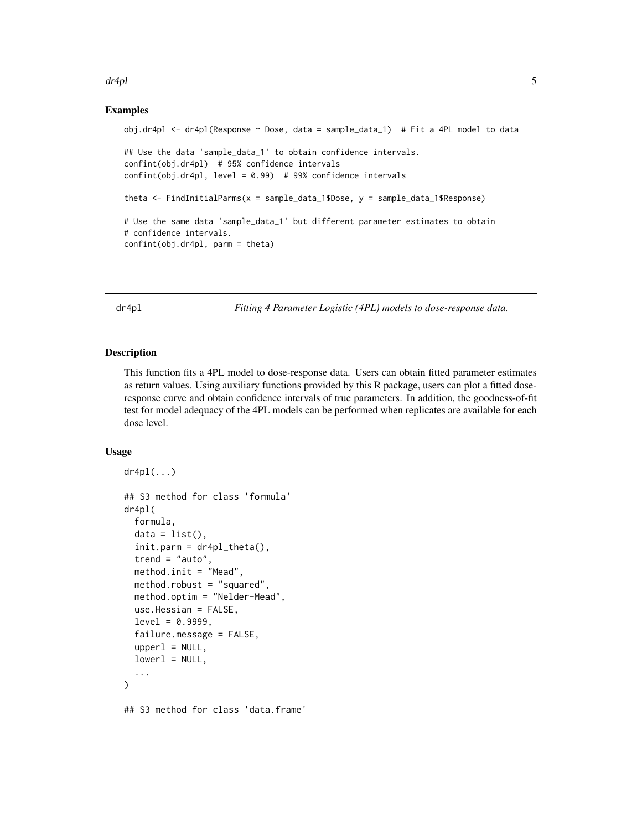#### <span id="page-4-0"></span> $d$ r $4$ pl  $5$

# Examples

```
obj.dr4pl <- dr4pl(Response ~ Dose, data = sample_data_1) # Fit a 4PL model to data
## Use the data 'sample_data_1' to obtain confidence intervals.
confint(obj.dr4pl) # 95% confidence intervals
confint(obj.dr4pl, level = 0.99) # 99% confidence intervals
theta <- FindInitialParms(x = sample_data_1$Dose, y = sample_data_1$Response)
# Use the same data 'sample_data_1' but different parameter estimates to obtain
# confidence intervals.
confint(obj.dr4pl, parm = theta)
```
<span id="page-4-2"></span>dr4pl *Fitting 4 Parameter Logistic (4PL) models to dose-response data.*

#### <span id="page-4-1"></span>**Description**

This function fits a 4PL model to dose-response data. Users can obtain fitted parameter estimates as return values. Using auxiliary functions provided by this R package, users can plot a fitted doseresponse curve and obtain confidence intervals of true parameters. In addition, the goodness-of-fit test for model adequacy of the 4PL models can be performed when replicates are available for each dose level.

#### Usage

```
dr4p1(\ldots)## S3 method for class 'formula'
dr4pl(
  formula,
  data = list(),
  init.parent = dr4pl\_theta(),
  trend = "auto",method.init = "Mead",
 method.robust = "squared",
 method.optim = "Nelder-Mead",
  use.Hessian = FALSE,
  level = 0.9999,failure.message = FALSE,
  upper1 = NULL,lower1 = NULL,...
)
## S3 method for class 'data.frame'
```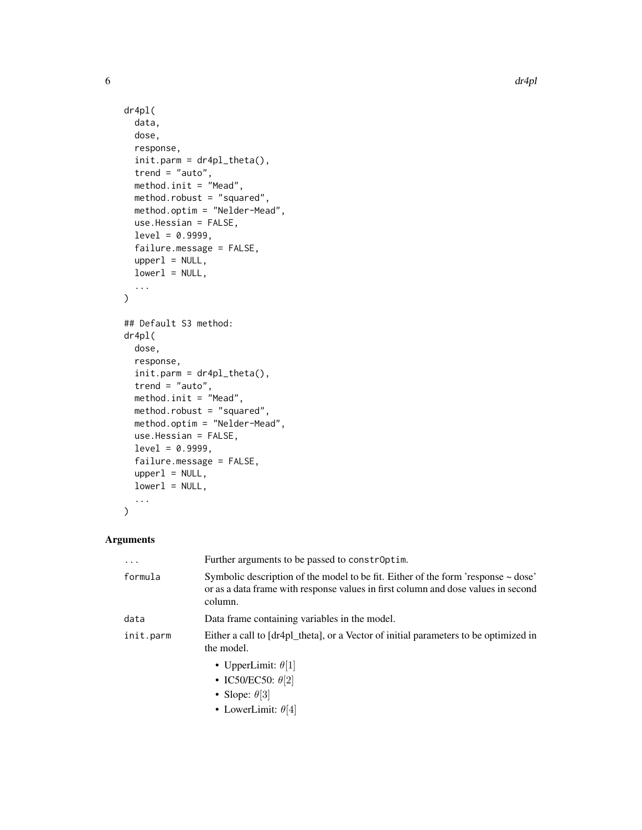```
dr4pl(
  data,
  dose,
  response,
  init.parent = dr4pl\_theta(),
  trend = "auto",method.init = "Mead",
 method.robust = "squared",
 method.optim = "Nelder-Mead",
 use.Hessian = FALSE,
  level = 0.9999,failure.message = FALSE,
  upper1 = NULL,lower1 = NULL,...
\mathcal{L}## Default S3 method:
dr4pl(
 dose,
 response,
  init.parent = dr4pl\_theta(,
  trend = "auto",method.init = "Mead",
 method.robust = "squared",
 method.optim = "Nelder-Mead",
 use.Hessian = FALSE,
  level = 0.9999,failure.message = FALSE,
  upper1 = NULL,lower1 = NULL,...
\mathcal{L}
```
# Arguments

| $\cdots$  | Further arguments to be passed to constroptim.                                                                                                                                         |
|-----------|----------------------------------------------------------------------------------------------------------------------------------------------------------------------------------------|
| formula   | Symbolic description of the model to be fit. Either of the form 'response $\sim$ dose'<br>or as a data frame with response values in first column and dose values in second<br>column. |
| data      | Data frame containing variables in the model.                                                                                                                                          |
| init.parm | Either a call to [dr4pl_theta], or a Vector of initial parameters to be optimized in<br>the model.                                                                                     |
|           | • UpperLimit: $\theta$ [1]                                                                                                                                                             |
|           | • IC50/EC50: $\theta$ [2]                                                                                                                                                              |
|           | • Slope: $\theta$ [3]                                                                                                                                                                  |
|           | • LowerLimit: $\theta$ [4]                                                                                                                                                             |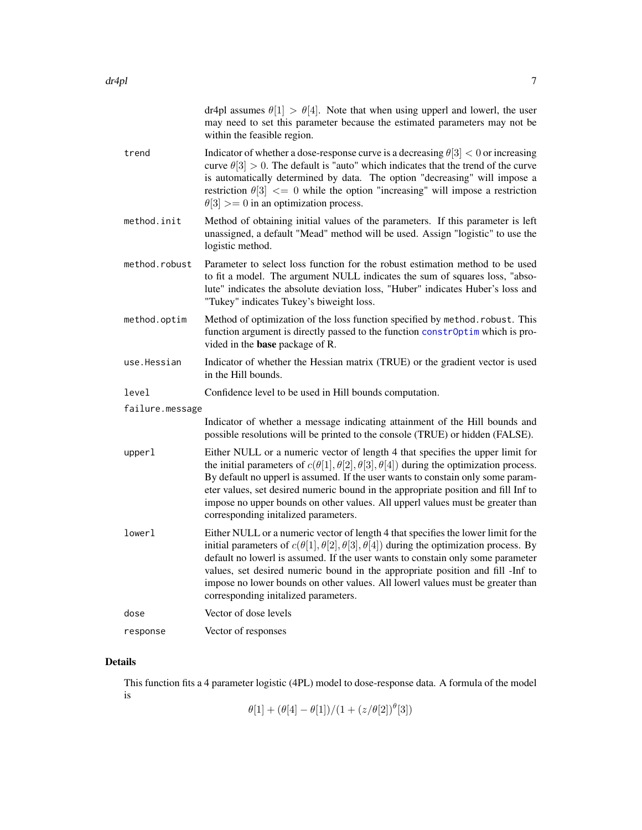<span id="page-6-0"></span>

|                 | dr4pl assumes $\theta$ [1] > $\theta$ [4]. Note that when using upperl and lowerl, the user<br>may need to set this parameter because the estimated parameters may not be<br>within the feasible region.                                                                                                                                                                                                                                                                                        |
|-----------------|-------------------------------------------------------------------------------------------------------------------------------------------------------------------------------------------------------------------------------------------------------------------------------------------------------------------------------------------------------------------------------------------------------------------------------------------------------------------------------------------------|
| trend           | Indicator of whether a dose-response curve is a decreasing $\theta[3] < 0$ or increasing<br>curve $\theta[3] > 0$ . The default is "auto" which indicates that the trend of the curve<br>is automatically determined by data. The option "decreasing" will impose a<br>restriction $\theta[3] \leq 0$ while the option "increasing" will impose a restriction<br>$\theta[3] >= 0$ in an optimization process.                                                                                   |
| method.init     | Method of obtaining initial values of the parameters. If this parameter is left<br>unassigned, a default "Mead" method will be used. Assign "logistic" to use the<br>logistic method.                                                                                                                                                                                                                                                                                                           |
| method.robust   | Parameter to select loss function for the robust estimation method to be used<br>to fit a model. The argument NULL indicates the sum of squares loss, "abso-<br>lute" indicates the absolute deviation loss, "Huber" indicates Huber's loss and<br>"Tukey" indicates Tukey's biweight loss.                                                                                                                                                                                                     |
| method.optim    | Method of optimization of the loss function specified by method. robust. This<br>function argument is directly passed to the function constrOptim which is pro-<br>vided in the <b>base</b> package of R.                                                                                                                                                                                                                                                                                       |
| use.Hessian     | Indicator of whether the Hessian matrix (TRUE) or the gradient vector is used<br>in the Hill bounds.                                                                                                                                                                                                                                                                                                                                                                                            |
| level           | Confidence level to be used in Hill bounds computation.                                                                                                                                                                                                                                                                                                                                                                                                                                         |
| failure.message |                                                                                                                                                                                                                                                                                                                                                                                                                                                                                                 |
|                 | Indicator of whether a message indicating attainment of the Hill bounds and<br>possible resolutions will be printed to the console (TRUE) or hidden (FALSE).                                                                                                                                                                                                                                                                                                                                    |
| upperl          | Either NULL or a numeric vector of length 4 that specifies the upper limit for<br>the initial parameters of $c(\theta[1], \theta[2], \theta[3], \theta[4])$ during the optimization process.<br>By default no upperl is assumed. If the user wants to constain only some param-<br>eter values, set desired numeric bound in the appropriate position and fill Inf to<br>impose no upper bounds on other values. All upperl values must be greater than<br>corresponding initalized parameters. |
| lowerl          | Either NULL or a numeric vector of length 4 that specifies the lower limit for the<br>initial parameters of $c(\theta[1], \theta[2], \theta[3], \theta[4])$ during the optimization process. By<br>default no lowerl is assumed. If the user wants to constain only some parameter<br>values, set desired numeric bound in the appropriate position and fill -Inf to<br>impose no lower bounds on other values. All lowerl values must be greater than<br>corresponding initalized parameters.  |
| dose            | Vector of dose levels                                                                                                                                                                                                                                                                                                                                                                                                                                                                           |
| response        | Vector of responses                                                                                                                                                                                                                                                                                                                                                                                                                                                                             |

# Details

This function fits a 4 parameter logistic (4PL) model to dose-response data. A formula of the model is

 $\theta[1] + (\theta[4] - \theta[1])/ (1 + (z/\theta[2])^{\theta}[3])$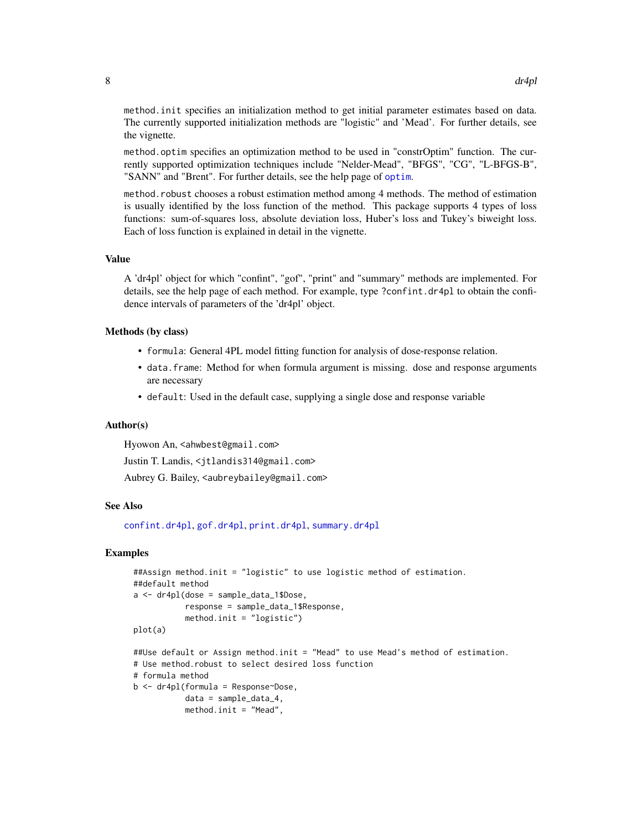<span id="page-7-0"></span>method.init specifies an initialization method to get initial parameter estimates based on data. The currently supported initialization methods are "logistic" and 'Mead'. For further details, see the vignette.

method.optim specifies an optimization method to be used in "constrOptim" function. The currently supported optimization techniques include "Nelder-Mead", "BFGS", "CG", "L-BFGS-B", "SANN" and "Brent". For further details, see the help page of [optim](#page-0-0).

method.robust chooses a robust estimation method among 4 methods. The method of estimation is usually identified by the loss function of the method. This package supports 4 types of loss functions: sum-of-squares loss, absolute deviation loss, Huber's loss and Tukey's biweight loss. Each of loss function is explained in detail in the vignette.

#### Value

A 'dr4pl' object for which "confint", "gof", "print" and "summary" methods are implemented. For details, see the help page of each method. For example, type ?confint.dr4pl to obtain the confidence intervals of parameters of the 'dr4pl' object.

#### Methods (by class)

- formula: General 4PL model fitting function for analysis of dose-response relation.
- data.frame: Method for when formula argument is missing. dose and response arguments are necessary
- default: Used in the default case, supplying a single dose and response variable

#### Author(s)

Hyowon An, <ahwbest@gmail.com>

Justin T. Landis, <jtlandis314@gmail.com>

Aubrey G. Bailey, <aubreybailey@gmail.com>

# See Also

[confint.dr4pl](#page-3-1), [gof.dr4pl](#page-16-1), [print.dr4pl](#page-21-1), [summary.dr4pl](#page-27-1)

### Examples

```
##Assign method.init = "logistic" to use logistic method of estimation.
##default method
a \leftarrow dr4pl(dose = sample_data_1$Dose,
           response = sample_data_1$Response,
           method.init = "logistic")
plot(a)
##Use default or Assign method.init = "Mead" to use Mead's method of estimation.
```

```
# Use method.robust to select desired loss function
```
# formula method

```
b <- dr4pl(formula = Response~Dose,
           data = sample_data_4,
```

```
method.init = "Mead",
```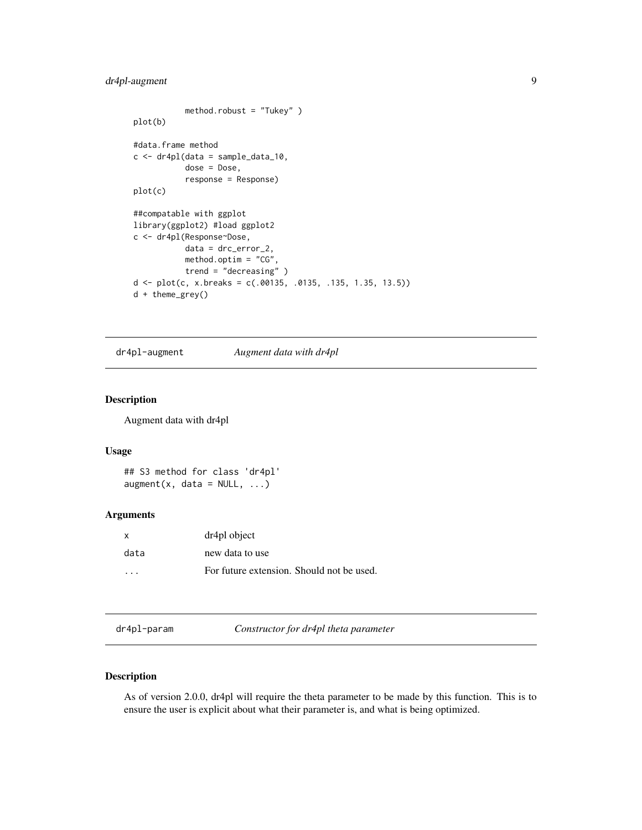# <span id="page-8-0"></span>dr4pl-augment 9

```
method.robust = "Tukey" )
plot(b)
#data.frame method
c <- dr4pl(data = sample_data_10,
           dose = Dose,
           response = Response)
plot(c)
##compatable with ggplot
library(ggplot2) #load ggplot2
c <- dr4pl(Response~Dose,
           data = drc_error_2,
           method.optim = "CG",
           trend = "decreasing" )
d \leq plot(c, x.breaks = c(.00135, .0135, .135, 1.35, 13.5))d + theme_grey()
```

```
dr4pl-augment Augment data with dr4pl
```
# Description

Augment data with dr4pl

## Usage

```
## S3 method for class 'dr4pl'
augment(x, data = NULL, ...)
```
# Arguments

| X.      | dr4pl object                              |
|---------|-------------------------------------------|
| data    | new data to use                           |
| $\cdot$ | For future extension. Should not be used. |

dr4pl-param *Constructor for dr4pl theta parameter*

# Description

As of version 2.0.0, dr4pl will require the theta parameter to be made by this function. This is to ensure the user is explicit about what their parameter is, and what is being optimized.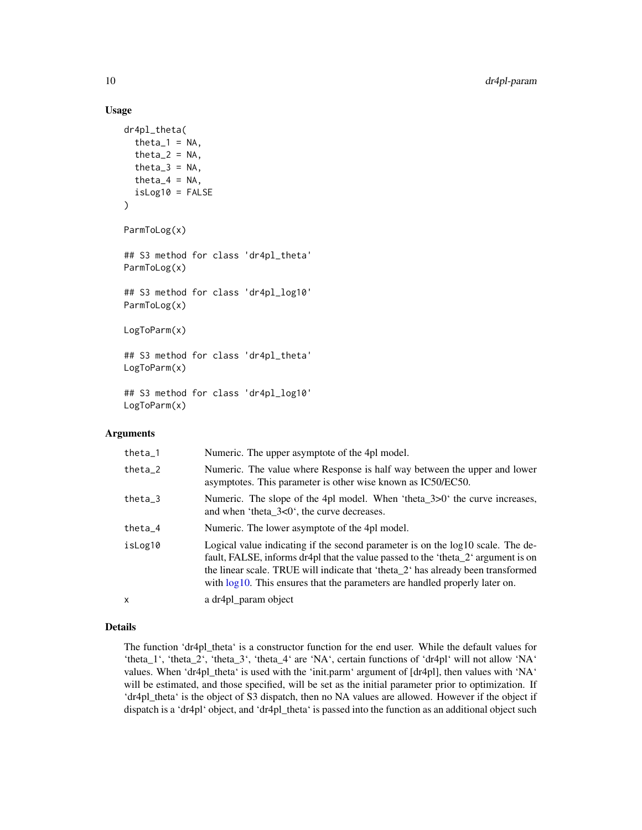# Usage

```
dr4pl_theta(
  theta_1 = NA,
  theta_2 = NA,
  theta_3 = NA,
  theta-4 = NA,
  isLog10 = FALSE
)
ParmToLog(x)
## S3 method for class 'dr4pl_theta'
ParmToLog(x)
## S3 method for class 'dr4pl_log10'
ParmToLog(x)
LogToParm(x)
## S3 method for class 'dr4pl_theta'
LogToParm(x)
## S3 method for class 'dr4pl_log10'
LogToParm(x)
```
#### Arguments

| theta $-1$ | Numeric. The upper asymptote of the 4pl model.                                                                                                                                                                                                                                                                                             |
|------------|--------------------------------------------------------------------------------------------------------------------------------------------------------------------------------------------------------------------------------------------------------------------------------------------------------------------------------------------|
| $theta_2$  | Numeric. The value where Response is half way between the upper and lower<br>asymptotes. This parameter is other wise known as IC50/EC50.                                                                                                                                                                                                  |
| $theta_3$  | Numeric. The slope of the 4pl model. When 'theta_3>0' the curve increases,<br>and when 'theta_3<0', the curve decreases.                                                                                                                                                                                                                   |
| theta $-4$ | Numeric. The lower asymptote of the 4pl model.                                                                                                                                                                                                                                                                                             |
| isLog10    | Logical value indicating if the second parameter is on the log10 scale. The de-<br>fault, FALSE, informs dr4pl that the value passed to the 'theta_2' argument is on<br>the linear scale. TRUE will indicate that 'theta_2' has already been transformed<br>with $log10$ . This ensures that the parameters are handled properly later on. |
| X          | a dr4pl_param object                                                                                                                                                                                                                                                                                                                       |

# Details

The function 'dr4pl\_theta' is a constructor function for the end user. While the default values for 'theta\_1', 'theta\_2', 'theta\_3', 'theta\_4' are 'NA', certain functions of 'dr4pl' will not allow 'NA' values. When 'dr4pl\_theta' is used with the 'init.parm' argument of [dr4pl], then values with 'NA' will be estimated, and those specified, will be set as the initial parameter prior to optimization. If 'dr4pl\_theta' is the object of S3 dispatch, then no NA values are allowed. However if the object if dispatch is a 'dr4pl' object, and 'dr4pl\_theta' is passed into the function as an additional object such

<span id="page-9-0"></span>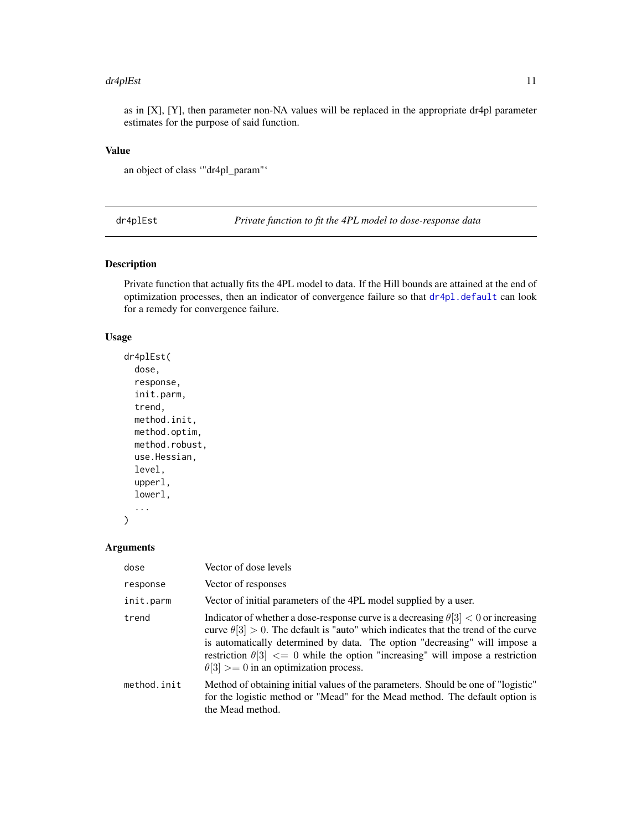#### <span id="page-10-0"></span>dr4plEst 11

as in  $[X]$ ,  $[Y]$ , then parameter non-NA values will be replaced in the appropriate dr4pl parameter estimates for the purpose of said function.

# Value

an object of class '"dr4pl\_param"'

dr4plEst *Private function to fit the 4PL model to dose-response data*

# Description

Private function that actually fits the 4PL model to data. If the Hill bounds are attained at the end of optimization processes, then an indicator of convergence failure so that [dr4pl.default](#page-4-1) can look for a remedy for convergence failure.

#### Usage

```
dr4plEst(
  dose,
  response,
  init.parm,
  trend,
  method.init,
 method.optim,
 method.robust,
  use.Hessian,
  level,
  upperl,
  lowerl,
  ...
```
# Arguments

)

| dose        | Vector of dose levels                                                                                                                                                                                                                                                                                                                                                                                          |
|-------------|----------------------------------------------------------------------------------------------------------------------------------------------------------------------------------------------------------------------------------------------------------------------------------------------------------------------------------------------------------------------------------------------------------------|
| response    | Vector of responses                                                                                                                                                                                                                                                                                                                                                                                            |
| init.parm   | Vector of initial parameters of the 4PL model supplied by a user.                                                                                                                                                                                                                                                                                                                                              |
| trend       | Indicator of whether a dose-response curve is a decreasing $\theta$ [3] < 0 or increasing<br>curve $\theta[3] > 0$ . The default is "auto" which indicates that the trend of the curve<br>is automatically determined by data. The option "decreasing" will impose a<br>restriction $\theta[3] \leq 0$ while the option "increasing" will impose a restriction<br>$\theta[3] >= 0$ in an optimization process. |
| method.init | Method of obtaining initial values of the parameters. Should be one of "logistic"<br>for the logistic method or "Mead" for the Mead method. The default option is<br>the Mead method.                                                                                                                                                                                                                          |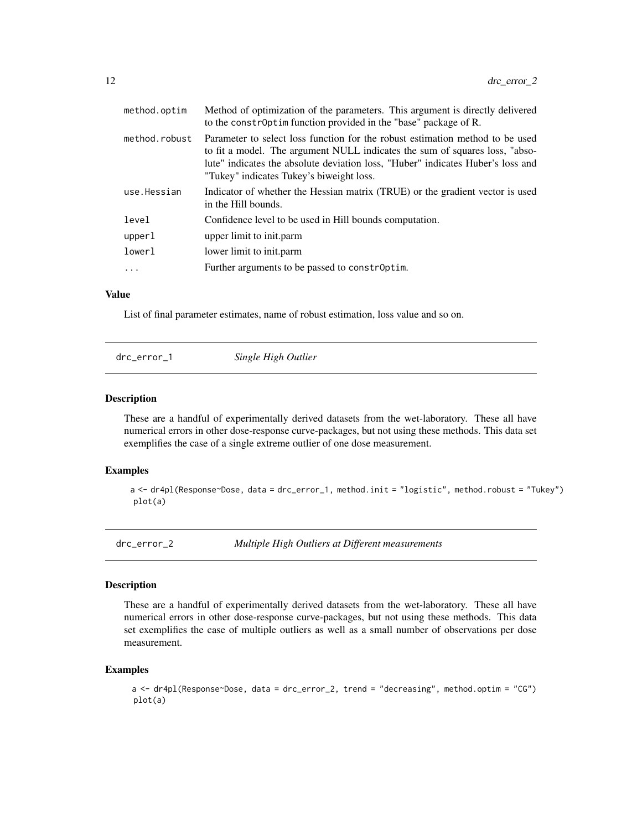<span id="page-11-0"></span>

| method.optim  | Method of optimization of the parameters. This argument is directly delivered<br>to the constroptim function provided in the "base" package of R.                                                                                                                                           |
|---------------|---------------------------------------------------------------------------------------------------------------------------------------------------------------------------------------------------------------------------------------------------------------------------------------------|
| method.robust | Parameter to select loss function for the robust estimation method to be used<br>to fit a model. The argument NULL indicates the sum of squares loss, "abso-<br>lute" indicates the absolute deviation loss, "Huber" indicates Huber's loss and<br>"Tukey" indicates Tukey's biweight loss. |
| use.Hessian   | Indicator of whether the Hessian matrix (TRUE) or the gradient vector is used<br>in the Hill bounds.                                                                                                                                                                                        |
| level         | Confidence level to be used in Hill bounds computation.                                                                                                                                                                                                                                     |
| upperl        | upper limit to init.parm                                                                                                                                                                                                                                                                    |
| lowerl        | lower limit to init.parm                                                                                                                                                                                                                                                                    |
| .             | Further arguments to be passed to constroptim.                                                                                                                                                                                                                                              |
|               |                                                                                                                                                                                                                                                                                             |

# Value

List of final parameter estimates, name of robust estimation, loss value and so on.

|  | drc_error_1 | Single High Outlier |  |
|--|-------------|---------------------|--|
|--|-------------|---------------------|--|

# Description

These are a handful of experimentally derived datasets from the wet-laboratory. These all have numerical errors in other dose-response curve-packages, but not using these methods. This data set exemplifies the case of a single extreme outlier of one dose measurement.

# Examples

a <- dr4pl(Response~Dose, data = drc\_error\_1, method.init = "logistic", method.robust = "Tukey") plot(a)

drc\_error\_2 *Multiple High Outliers at Different measurements*

#### Description

These are a handful of experimentally derived datasets from the wet-laboratory. These all have numerical errors in other dose-response curve-packages, but not using these methods. This data set exemplifies the case of multiple outliers as well as a small number of observations per dose measurement.

```
a <- dr4pl(Response~Dose, data = drc_error_2, trend = "decreasing", method.optim = "CG")
plot(a)
```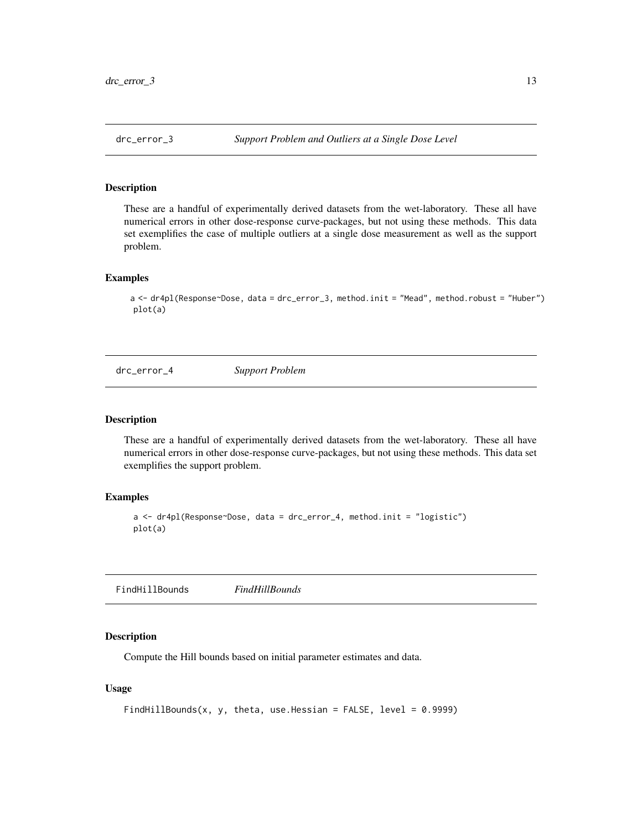<span id="page-12-0"></span>

# Description

These are a handful of experimentally derived datasets from the wet-laboratory. These all have numerical errors in other dose-response curve-packages, but not using these methods. This data set exemplifies the case of multiple outliers at a single dose measurement as well as the support problem.

# Examples

a <- dr4pl(Response~Dose, data = drc\_error\_3, method.init = "Mead", method.robust = "Huber") plot(a)

drc\_error\_4 *Support Problem*

#### Description

These are a handful of experimentally derived datasets from the wet-laboratory. These all have numerical errors in other dose-response curve-packages, but not using these methods. This data set exemplifies the support problem.

# Examples

```
a <- dr4pl(Response~Dose, data = drc_error_4, method.init = "logistic")
plot(a)
```
FindHillBounds *FindHillBounds*

#### Description

Compute the Hill bounds based on initial parameter estimates and data.

# Usage

```
FindHillBounds(x, y, theta, use.Hessian = FALSE, level = 0.9999)
```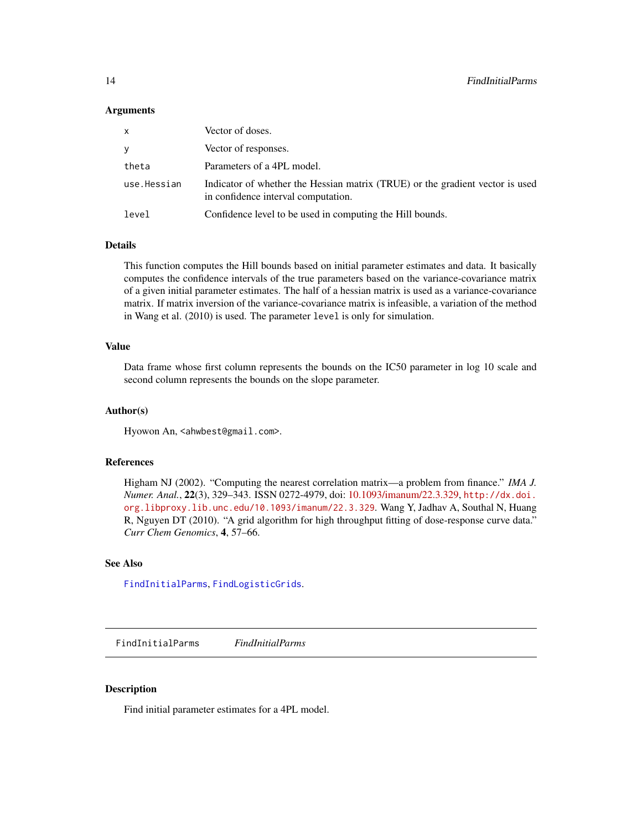#### <span id="page-13-0"></span>Arguments

| x           | Vector of doses.                                                                                                     |
|-------------|----------------------------------------------------------------------------------------------------------------------|
| ٧           | Vector of responses.                                                                                                 |
| theta       | Parameters of a 4PL model.                                                                                           |
| use.Hessian | Indicator of whether the Hessian matrix (TRUE) or the gradient vector is used<br>in confidence interval computation. |
| level       | Confidence level to be used in computing the Hill bounds.                                                            |

#### Details

This function computes the Hill bounds based on initial parameter estimates and data. It basically computes the confidence intervals of the true parameters based on the variance-covariance matrix of a given initial parameter estimates. The half of a hessian matrix is used as a variance-covariance matrix. If matrix inversion of the variance-covariance matrix is infeasible, a variation of the method in Wang et al. (2010) is used. The parameter level is only for simulation.

# Value

Data frame whose first column represents the bounds on the IC50 parameter in log 10 scale and second column represents the bounds on the slope parameter.

#### Author(s)

Hyowon An, <ahwbest@gmail.com>.

#### References

Higham NJ (2002). "Computing the nearest correlation matrix—a problem from finance." *IMA J. Numer. Anal.*, 22(3), 329–343. ISSN 0272-4979, doi: [10.1093/imanum/22.3.329,](https://doi.org/10.1093/imanum/22.3.329) [http://dx.doi.](http://dx.doi.org.libproxy.lib.unc.edu/10.1093/imanum/22.3.329) [org.libproxy.lib.unc.edu/10.1093/imanum/22.3.329](http://dx.doi.org.libproxy.lib.unc.edu/10.1093/imanum/22.3.329). Wang Y, Jadhav A, Southal N, Huang R, Nguyen DT (2010). "A grid algorithm for high throughput fitting of dose-response curve data." *Curr Chem Genomics*, 4, 57–66.

#### See Also

[FindInitialParms](#page-13-1), [FindLogisticGrids](#page-14-1).

<span id="page-13-1"></span>FindInitialParms *FindInitialParms*

#### Description

Find initial parameter estimates for a 4PL model.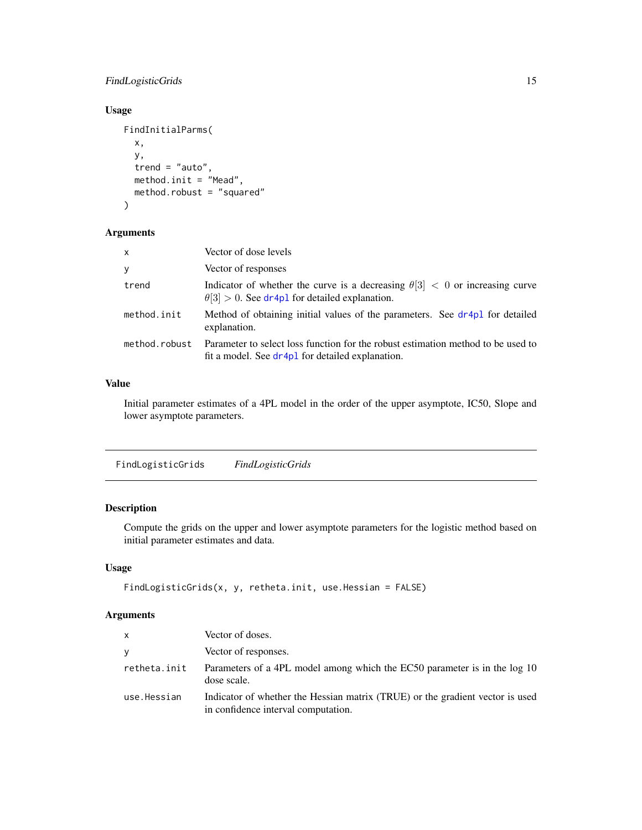# <span id="page-14-0"></span>FindLogisticGrids 15

# Usage

```
FindInitialParms(
 x,
 y,
  trend = "auto",
 method.init = "Mead",
 method.robust = "squared"
)
```
# Arguments

| $\times$      | Vector of dose levels                                                                                                                       |
|---------------|---------------------------------------------------------------------------------------------------------------------------------------------|
| y             | Vector of responses                                                                                                                         |
| trend         | Indicator of whether the curve is a decreasing $\theta[3] < 0$ or increasing curve<br>$\theta$ [3] > 0. See dr4p1 for detailed explanation. |
| method.init   | Method of obtaining initial values of the parameters. See dr4p1 for detailed<br>explanation.                                                |
| method.robust | Parameter to select loss function for the robust estimation method to be used to<br>fit a model. See dr4p1 for detailed explanation.        |

# Value

Initial parameter estimates of a 4PL model in the order of the upper asymptote, IC50, Slope and lower asymptote parameters.

<span id="page-14-1"></span>FindLogisticGrids *FindLogisticGrids*

# Description

Compute the grids on the upper and lower asymptote parameters for the logistic method based on initial parameter estimates and data.

# Usage

```
FindLogisticGrids(x, y, retheta.init, use.Hessian = FALSE)
```
# Arguments

| <b>X</b>     | Vector of doses.                                                                                                     |
|--------------|----------------------------------------------------------------------------------------------------------------------|
| ٧            | Vector of responses.                                                                                                 |
| retheta.init | Parameters of a 4PL model among which the EC50 parameter is in the log 10<br>dose scale.                             |
| use.Hessian  | Indicator of whether the Hessian matrix (TRUE) or the gradient vector is used<br>in confidence interval computation. |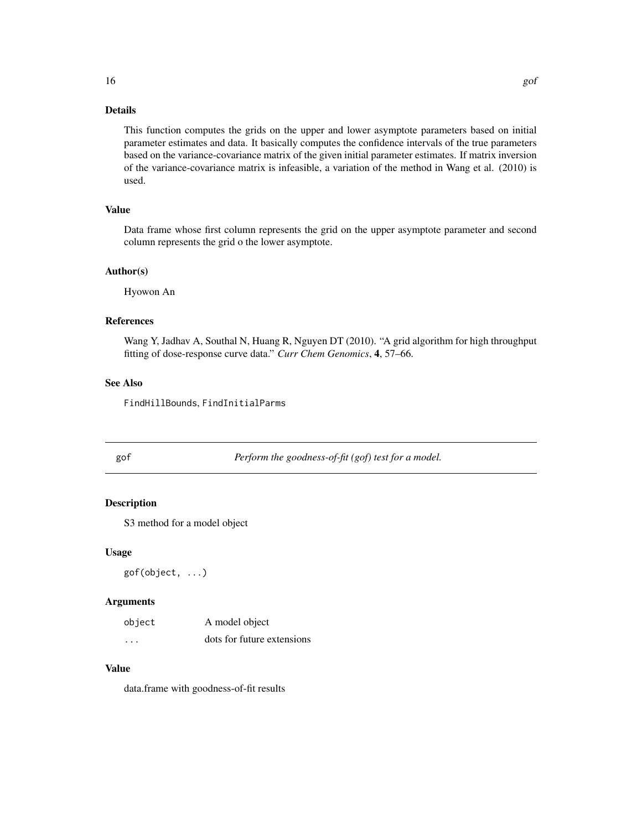# <span id="page-15-0"></span>Details

This function computes the grids on the upper and lower asymptote parameters based on initial parameter estimates and data. It basically computes the confidence intervals of the true parameters based on the variance-covariance matrix of the given initial parameter estimates. If matrix inversion of the variance-covariance matrix is infeasible, a variation of the method in Wang et al. (2010) is used.

# Value

Data frame whose first column represents the grid on the upper asymptote parameter and second column represents the grid o the lower asymptote.

# Author(s)

Hyowon An

# References

Wang Y, Jadhav A, Southal N, Huang R, Nguyen DT (2010). "A grid algorithm for high throughput fitting of dose-response curve data." *Curr Chem Genomics*, 4, 57–66.

# See Also

FindHillBounds, FindInitialParms

gof *Perform the goodness-of-fit (gof) test for a model.*

#### Description

S3 method for a model object

#### Usage

gof(object, ...)

#### Arguments

| object   | A model object             |
|----------|----------------------------|
| $\cdots$ | dots for future extensions |

# Value

data.frame with goodness-of-fit results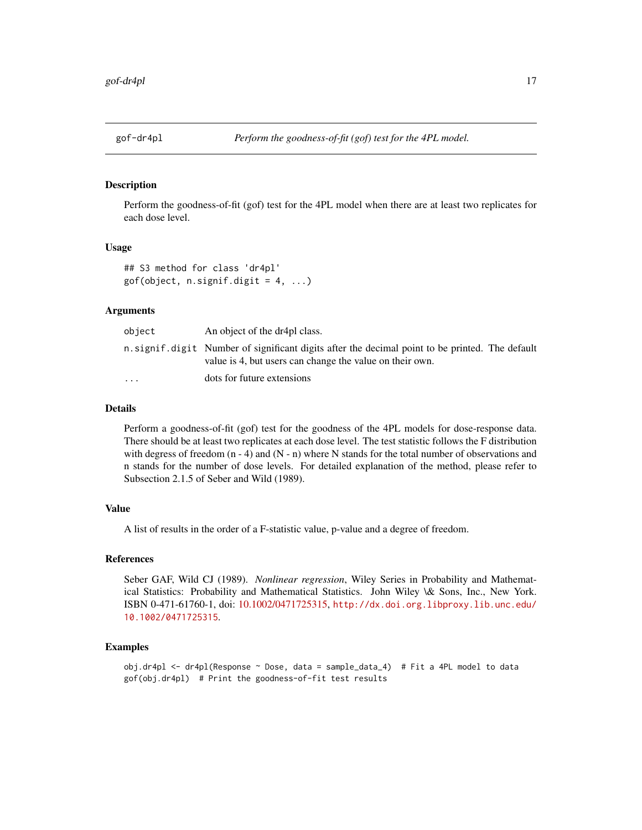<span id="page-16-0"></span>

# <span id="page-16-1"></span>Description

Perform the goodness-of-fit (gof) test for the 4PL model when there are at least two replicates for each dose level.

#### Usage

```
## S3 method for class 'dr4pl'
gof(object, n.signif.digit = 4, ...)
```
# Arguments

| object                  | An object of the dr4pl class.                                                                                                                                |
|-------------------------|--------------------------------------------------------------------------------------------------------------------------------------------------------------|
|                         | n, signif, digit Number of significant digits after the decimal point to be printed. The default<br>value is 4, but users can change the value on their own. |
| $\cdot$ $\cdot$ $\cdot$ | dots for future extensions                                                                                                                                   |

# Details

Perform a goodness-of-fit (gof) test for the goodness of the 4PL models for dose-response data. There should be at least two replicates at each dose level. The test statistic follows the F distribution with degress of freedom  $(n - 4)$  and  $(N - n)$  where N stands for the total number of observations and n stands for the number of dose levels. For detailed explanation of the method, please refer to Subsection 2.1.5 of Seber and Wild (1989).

#### Value

A list of results in the order of a F-statistic value, p-value and a degree of freedom.

# References

Seber GAF, Wild CJ (1989). *Nonlinear regression*, Wiley Series in Probability and Mathematical Statistics: Probability and Mathematical Statistics. John Wiley \& Sons, Inc., New York. ISBN 0-471-61760-1, doi: [10.1002/0471725315,](https://doi.org/10.1002/0471725315) [http://dx.doi.org.libproxy.lib.unc.edu/](http://dx.doi.org.libproxy.lib.unc.edu/10.1002/0471725315) [10.1002/0471725315](http://dx.doi.org.libproxy.lib.unc.edu/10.1002/0471725315).

```
obj.dr4pl <- dr4pl(Response ~ Dose, data = sample_data_4) # Fit a 4PL model to data
gof(obj.dr4pl) # Print the goodness-of-fit test results
```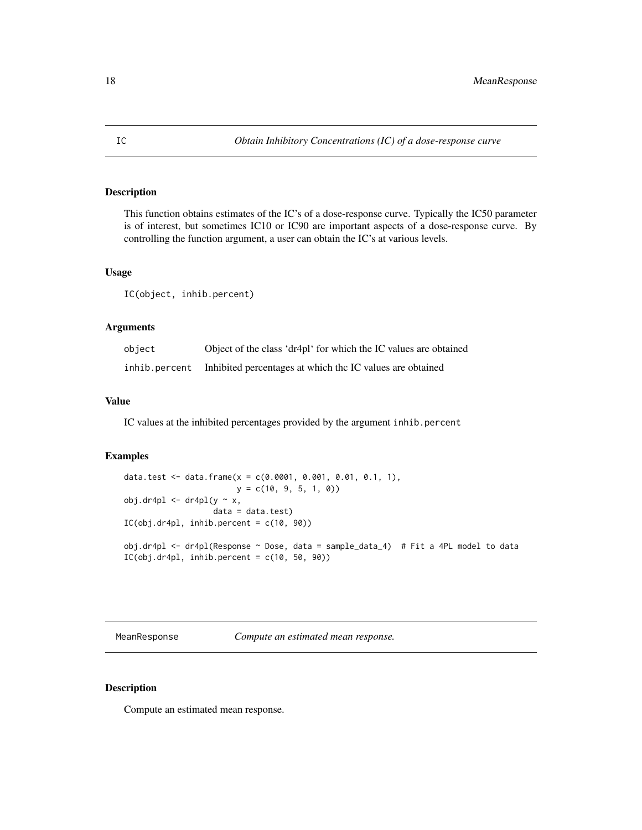# <span id="page-17-0"></span>Description

This function obtains estimates of the IC's of a dose-response curve. Typically the IC50 parameter is of interest, but sometimes IC10 or IC90 are important aspects of a dose-response curve. By controlling the function argument, a user can obtain the IC's at various levels.

# Usage

IC(object, inhib.percent)

# Arguments

| object        | Object of the class 'dr4pl' for which the IC values are obtained |
|---------------|------------------------------------------------------------------|
| inhib.percent | Inhibited percentages at which the IC values are obtained        |

#### Value

IC values at the inhibited percentages provided by the argument inhib.percent

#### Examples

```
data.test <- data.frame(x = c(0.0001, 0.001, 0.01, 0.1, 1),
                         y = c(10, 9, 5, 1, 0)obj.dr4pl \leftarrow dr4pl(y \sim x,data = data.test)IC(obj.dr4pl, inhib.percent = <math>c(10, 90)</math>)obj.dr4pl <- dr4pl(Response ~ Dose, data = sample_data_4) # Fit a 4PL model to data
IC(obj.dr4pl, inhib.percent = c(10, 50, 90))
```
MeanResponse *Compute an estimated mean response.*

#### Description

Compute an estimated mean response.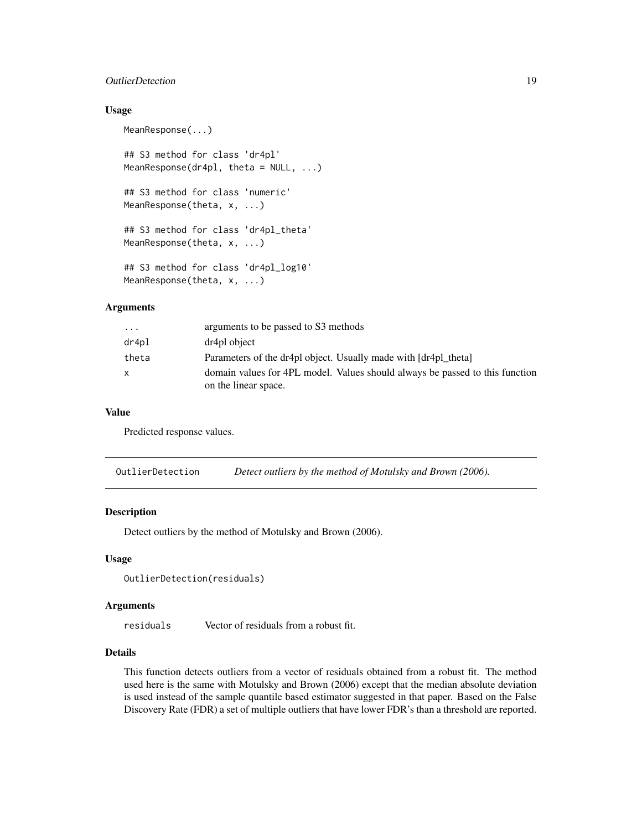# <span id="page-18-0"></span>**OutlierDetection** 19

#### Usage

MeanResponse(...)

## S3 method for class 'dr4pl' MeanResponse(dr4pl, theta = NULL, ...) ## S3 method for class 'numeric' MeanResponse(theta, x, ...) ## S3 method for class 'dr4pl\_theta' MeanResponse(theta, x, ...) ## S3 method for class 'dr4pl\_log10' MeanResponse(theta, x, ...)

# **Arguments**

| $\cdots$ | arguments to be passed to S3 methods                                                                 |
|----------|------------------------------------------------------------------------------------------------------|
| dr4p1    | dr4pl object                                                                                         |
| theta    | Parameters of the dr4pl object. Usually made with [dr4pl theta]                                      |
| X        | domain values for 4PL model. Values should always be passed to this function<br>on the linear space. |

#### Value

Predicted response values.

OutlierDetection *Detect outliers by the method of Motulsky and Brown (2006).*

# Description

Detect outliers by the method of Motulsky and Brown (2006).

#### Usage

```
OutlierDetection(residuals)
```
# Arguments

residuals Vector of residuals from a robust fit.

# Details

This function detects outliers from a vector of residuals obtained from a robust fit. The method used here is the same with Motulsky and Brown (2006) except that the median absolute deviation is used instead of the sample quantile based estimator suggested in that paper. Based on the False Discovery Rate (FDR) a set of multiple outliers that have lower FDR's than a threshold are reported.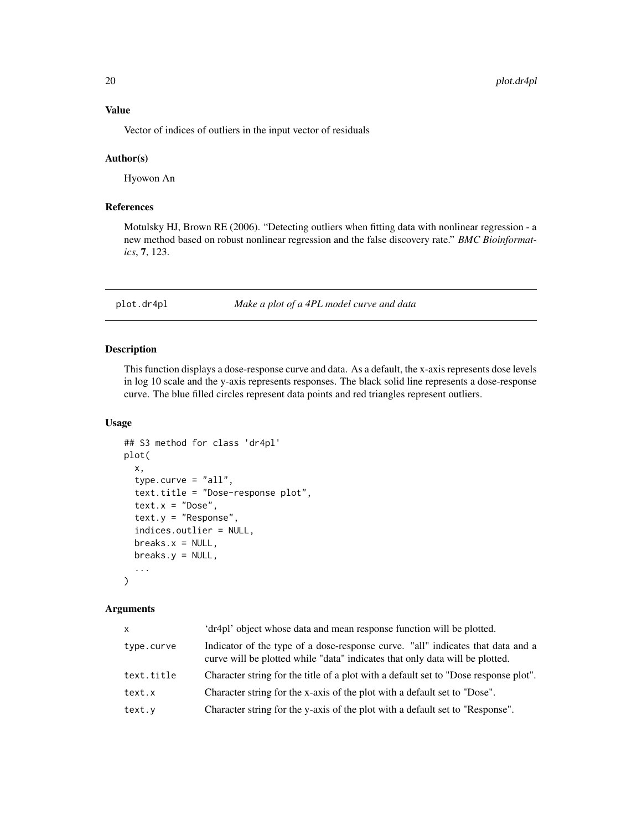<span id="page-19-0"></span>Vector of indices of outliers in the input vector of residuals

#### Author(s)

Hyowon An

# References

Motulsky HJ, Brown RE (2006). "Detecting outliers when fitting data with nonlinear regression - a new method based on robust nonlinear regression and the false discovery rate." *BMC Bioinformatics*, 7, 123.

plot.dr4pl *Make a plot of a 4PL model curve and data*

#### Description

This function displays a dose-response curve and data. As a default, the x-axis represents dose levels in log 10 scale and the y-axis represents responses. The black solid line represents a dose-response curve. The blue filled circles represent data points and red triangles represent outliers.

#### Usage

```
## S3 method for class 'dr4pl'
plot(
  x,
  type.curve = "all",text.title = "Dose-response plot",
  text.x = "Dose",text.y = "Response",
  indices.outlier = NULL,
 breaks.x = NULL,breaks.y = NULL,
  ...
)
```
#### Arguments

| $\mathsf{x}$ | 'dr4pl' object whose data and mean response function will be plotted.                                                                                           |
|--------------|-----------------------------------------------------------------------------------------------------------------------------------------------------------------|
| type.curve   | Indicator of the type of a dose-response curve. "all" indicates that data and a<br>curve will be plotted while "data" indicates that only data will be plotted. |
| text.title   | Character string for the title of a plot with a default set to "Dose response plot".                                                                            |
| text.x       | Character string for the x-axis of the plot with a default set to "Dose".                                                                                       |
| text.y       | Character string for the y-axis of the plot with a default set to "Response".                                                                                   |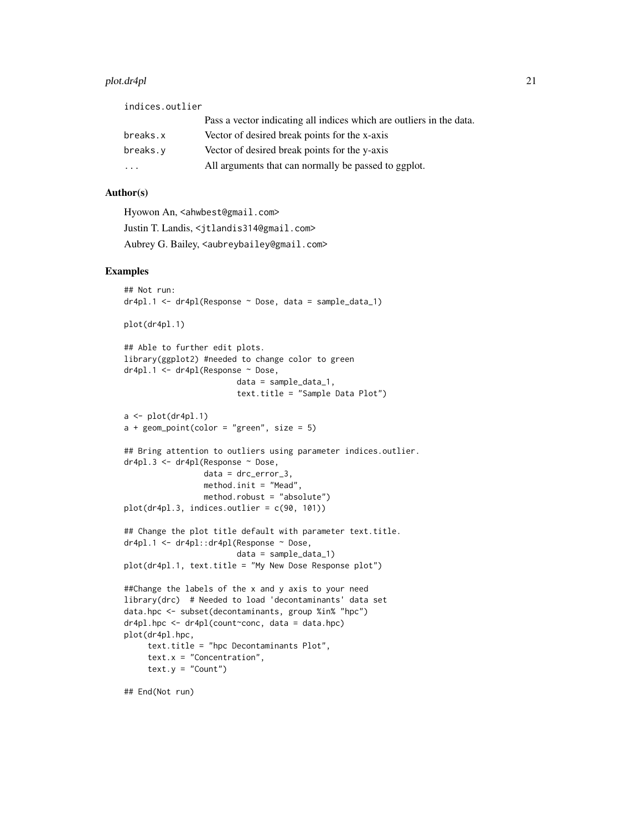#### plot.dr4pl 21

| indices.outlier                                                      |
|----------------------------------------------------------------------|
| Pass a vector indicating all indices which are outliers in the data. |
| Vector of desired break points for the x-axis                        |
| Vector of desired break points for the y-axis                        |
| All arguments that can normally be passed to ggplot.                 |
|                                                                      |

# Author(s)

Hyowon An, <ahwbest@gmail.com> Justin T. Landis, <jtlandis314@gmail.com> Aubrey G. Bailey, <aubreybailey@gmail.com>

```
## Not run:
dr4p1.1 \leftarrow dr4p1(Response \sim Bose, data = sample_data_1)plot(dr4pl.1)
## Able to further edit plots.
library(ggplot2) #needed to change color to green
dr4pl.1 <- dr4pl(Response ~ Dose,
                        data = sample_data_1,
                        text.title = "Sample Data Plot")
a \leftarrow plot(dr4pl.1)a + geom\_point(color = "green", size = 5)## Bring attention to outliers using parameter indices.outlier.
dr4pl.3 <- dr4pl(Response ~ Dose,
                 data = drc_error_3,
                 method.init = "Mead",
                 method.robust = "absolute")
plot(dr4pl.3, indices.outlier = c(90, 101))
## Change the plot title default with parameter text.title.
dr4pl.1 <- dr4pl::dr4pl(Response ~ Dose,
                        data = sample_data_1)
plot(dr4pl.1, text.title = "My New Dose Response plot")
##Change the labels of the x and y axis to your need
library(drc) # Needed to load 'decontaminants' data set
data.hpc <- subset(decontaminants, group %in% "hpc")
dr4pl.hpc <- dr4pl(count~conc, data = data.hpc)
plot(dr4pl.hpc,
     text.title = "hpc Decontaminants Plot",
     text.x = "Concentration",text.y = "Count")
```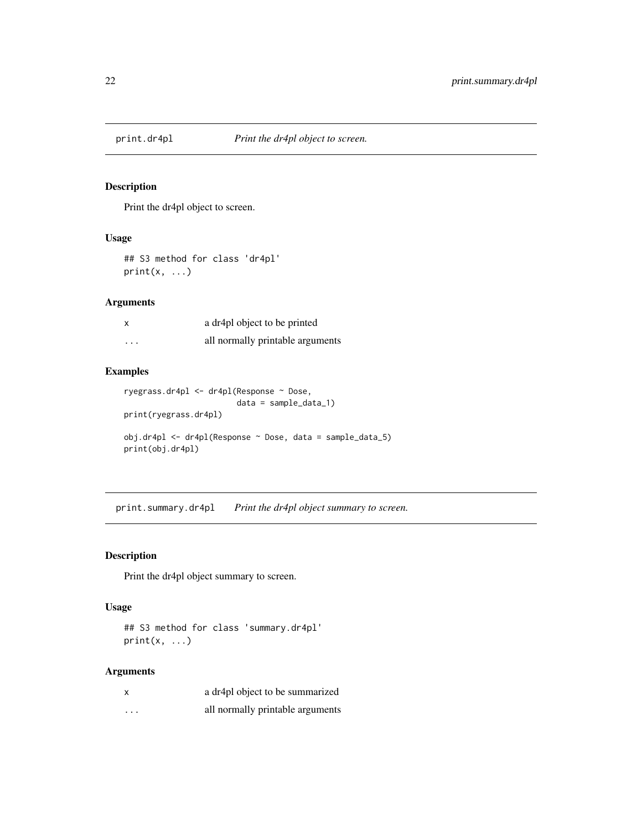<span id="page-21-1"></span><span id="page-21-0"></span>

# Description

Print the dr4pl object to screen.

# Usage

## S3 method for class 'dr4pl'  $print(x, \ldots)$ 

# Arguments

| X        | a dr4pl object to be printed     |
|----------|----------------------------------|
| $\cdots$ | all normally printable arguments |

# Examples

```
ryegrass.dr4pl <- dr4pl(Response ~ Dose,
                        data = sample_data_1)
print(ryegrass.dr4pl)
obj.dr4pl <- dr4pl(Response ~ Dose, data = sample_data_5)
print(obj.dr4pl)
```
print.summary.dr4pl *Print the dr4pl object summary to screen.*

## Description

Print the dr4pl object summary to screen.

# Usage

## S3 method for class 'summary.dr4pl'  $print(x, \ldots)$ 

## Arguments

| X        | a dr4pl object to be summarized  |
|----------|----------------------------------|
| $\cdots$ | all normally printable arguments |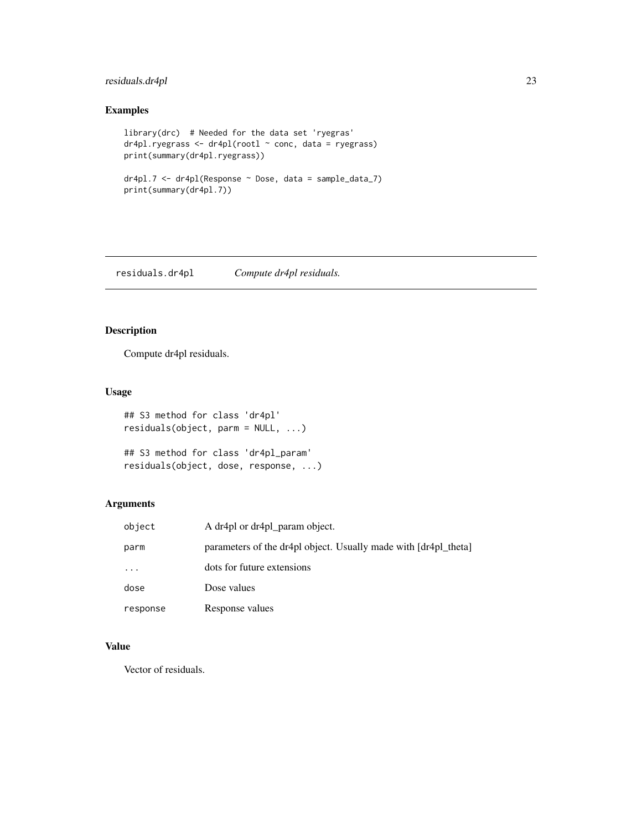# <span id="page-22-0"></span>residuals.dr4pl 23

# Examples

```
library(drc) # Needed for the data set 'ryegras'
dr4pl.ryegrass <- dr4pl(rootl ~ conc, data = ryegrass)
print(summary(dr4pl.ryegrass))
dr4pl.7 <- dr4pl(Response ~ Dose, data = sample_data_7)
print(summary(dr4pl.7))
```
residuals.dr4pl *Compute dr4pl residuals.*

# Description

Compute dr4pl residuals.

# Usage

```
## S3 method for class 'dr4pl'
residuals(object, parm = NULL, ...)
## S3 method for class 'dr4pl_param'
residuals(object, dose, response, ...)
```
# Arguments

| object   | A dr4pl or dr4pl param object.                                  |
|----------|-----------------------------------------------------------------|
| parm     | parameters of the dr4pl object. Usually made with [dr4pl_theta] |
| $\cdots$ | dots for future extensions                                      |
| dose     | Dose values                                                     |
| response | Response values                                                 |

# Value

Vector of residuals.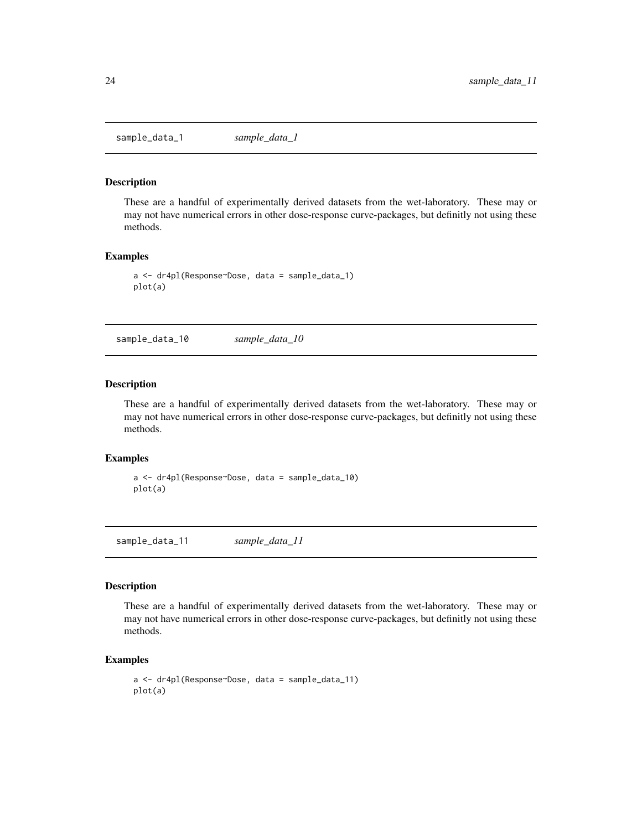<span id="page-23-0"></span>sample\_data\_1 *sample\_data\_1*

#### **Description**

These are a handful of experimentally derived datasets from the wet-laboratory. These may or may not have numerical errors in other dose-response curve-packages, but definitly not using these methods.

# Examples

```
a <- dr4pl(Response~Dose, data = sample_data_1)
plot(a)
```
sample\_data\_10 *sample\_data\_10*

#### Description

These are a handful of experimentally derived datasets from the wet-laboratory. These may or may not have numerical errors in other dose-response curve-packages, but definitly not using these methods.

# Examples

a <- dr4pl(Response~Dose, data = sample\_data\_10) plot(a)

sample\_data\_11 *sample\_data\_11*

#### Description

These are a handful of experimentally derived datasets from the wet-laboratory. These may or may not have numerical errors in other dose-response curve-packages, but definitly not using these methods.

```
a <- dr4pl(Response~Dose, data = sample_data_11)
plot(a)
```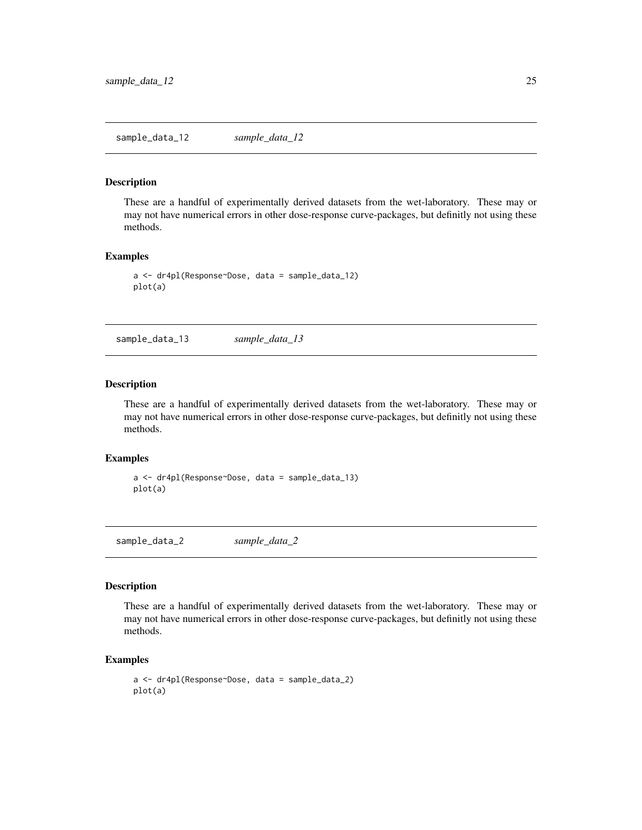#### <span id="page-24-0"></span>**Description**

These are a handful of experimentally derived datasets from the wet-laboratory. These may or may not have numerical errors in other dose-response curve-packages, but definitly not using these methods.

# Examples

```
a <- dr4pl(Response~Dose, data = sample_data_12)
plot(a)
```
sample\_data\_13 *sample\_data\_13*

#### Description

These are a handful of experimentally derived datasets from the wet-laboratory. These may or may not have numerical errors in other dose-response curve-packages, but definitly not using these methods.

# Examples

a <- dr4pl(Response~Dose, data = sample\_data\_13) plot(a)

sample\_data\_2 *sample\_data\_2*

#### Description

These are a handful of experimentally derived datasets from the wet-laboratory. These may or may not have numerical errors in other dose-response curve-packages, but definitly not using these methods.

```
a <- dr4pl(Response~Dose, data = sample_data_2)
plot(a)
```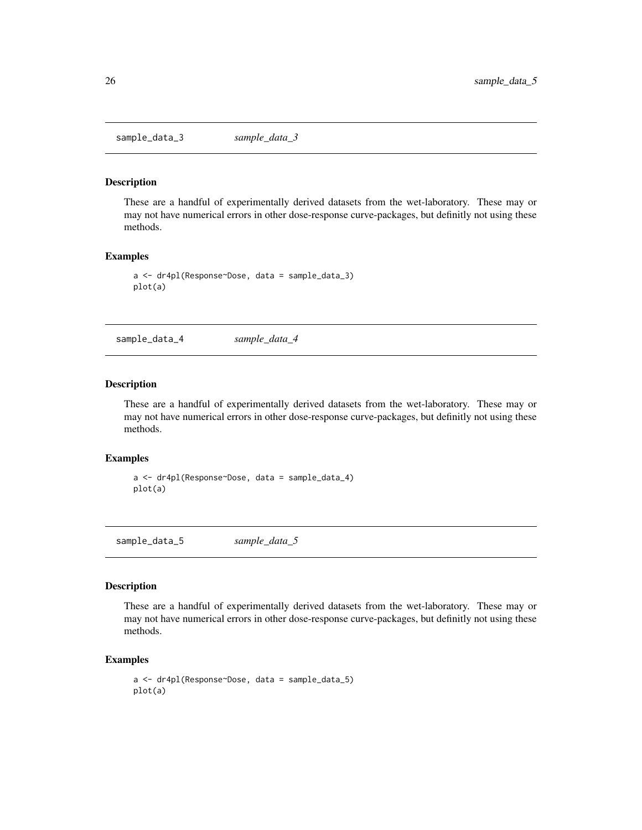<span id="page-25-0"></span>sample\_data\_3 *sample\_data\_3*

#### **Description**

These are a handful of experimentally derived datasets from the wet-laboratory. These may or may not have numerical errors in other dose-response curve-packages, but definitly not using these methods.

## Examples

```
a <- dr4pl(Response~Dose, data = sample_data_3)
plot(a)
```
sample\_data\_4 *sample\_data\_4*

#### Description

These are a handful of experimentally derived datasets from the wet-laboratory. These may or may not have numerical errors in other dose-response curve-packages, but definitly not using these methods.

#### Examples

```
a <- dr4pl(Response~Dose, data = sample_data_4)
plot(a)
```
sample\_data\_5 *sample\_data\_5*

#### Description

These are a handful of experimentally derived datasets from the wet-laboratory. These may or may not have numerical errors in other dose-response curve-packages, but definitly not using these methods.

```
a <- dr4pl(Response~Dose, data = sample_data_5)
plot(a)
```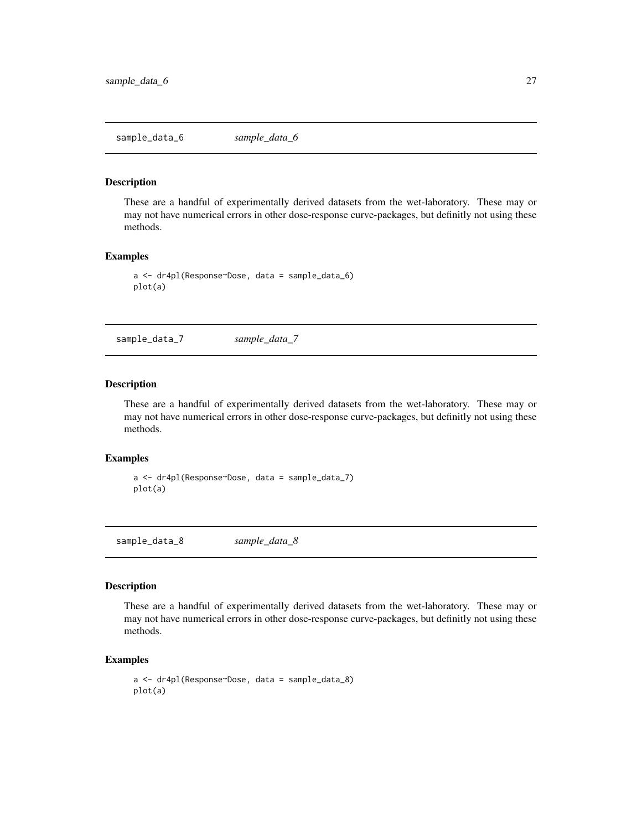<span id="page-26-0"></span>sample\_data\_6 *sample\_data\_6*

#### **Description**

These are a handful of experimentally derived datasets from the wet-laboratory. These may or may not have numerical errors in other dose-response curve-packages, but definitly not using these methods.

## Examples

```
a <- dr4pl(Response~Dose, data = sample_data_6)
plot(a)
```
sample\_data\_7 *sample\_data\_7*

#### Description

These are a handful of experimentally derived datasets from the wet-laboratory. These may or may not have numerical errors in other dose-response curve-packages, but definitly not using these methods.

# Examples

a <- dr4pl(Response~Dose, data = sample\_data\_7) plot(a)

sample\_data\_8 *sample\_data\_8*

#### Description

These are a handful of experimentally derived datasets from the wet-laboratory. These may or may not have numerical errors in other dose-response curve-packages, but definitly not using these methods.

```
a <- dr4pl(Response~Dose, data = sample_data_8)
plot(a)
```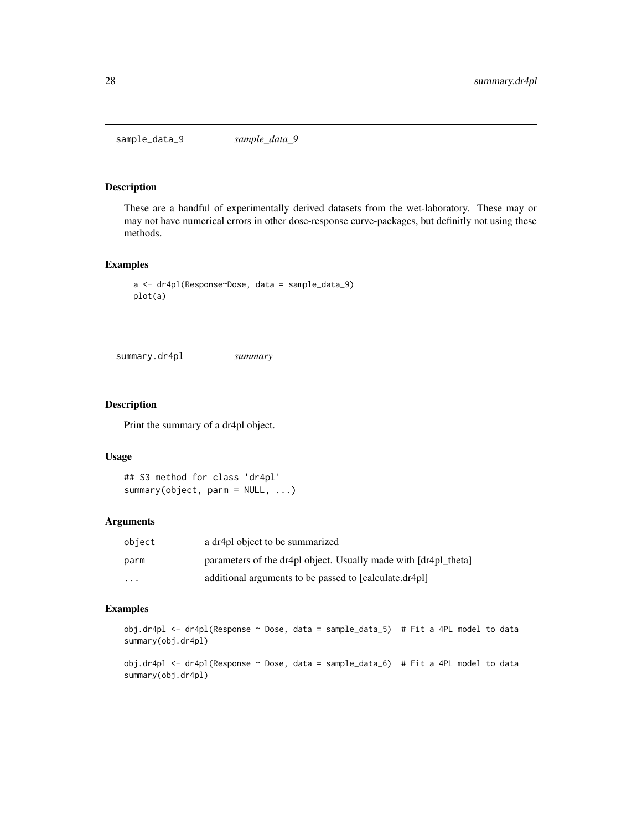<span id="page-27-0"></span>sample\_data\_9 *sample\_data\_9*

# Description

These are a handful of experimentally derived datasets from the wet-laboratory. These may or may not have numerical errors in other dose-response curve-packages, but definitly not using these methods.

# Examples

```
a <- dr4pl(Response~Dose, data = sample_data_9)
plot(a)
```
<span id="page-27-1"></span>summary.dr4pl *summary*

# Description

Print the summary of a dr4pl object.

#### Usage

```
## S3 method for class 'dr4pl'
summary(object, parm = NULL, ...)
```
# Arguments

| object                  | a dr4pl object to be summarized                                 |
|-------------------------|-----------------------------------------------------------------|
| parm                    | parameters of the dr4pl object. Usually made with [dr4pl theta] |
| $\cdot$ $\cdot$ $\cdot$ | additional arguments to be passed to [calculate.dr4pl]          |

# Examples

```
obj.dr4pl <- dr4pl(Response \sim Dose, data = sample_data_5) # Fit a 4PL model to data
summary(obj.dr4pl)
```
obj.dr4pl <- dr4pl(Response ~ Dose, data = sample\_data\_6) # Fit a 4PL model to data summary(obj.dr4pl)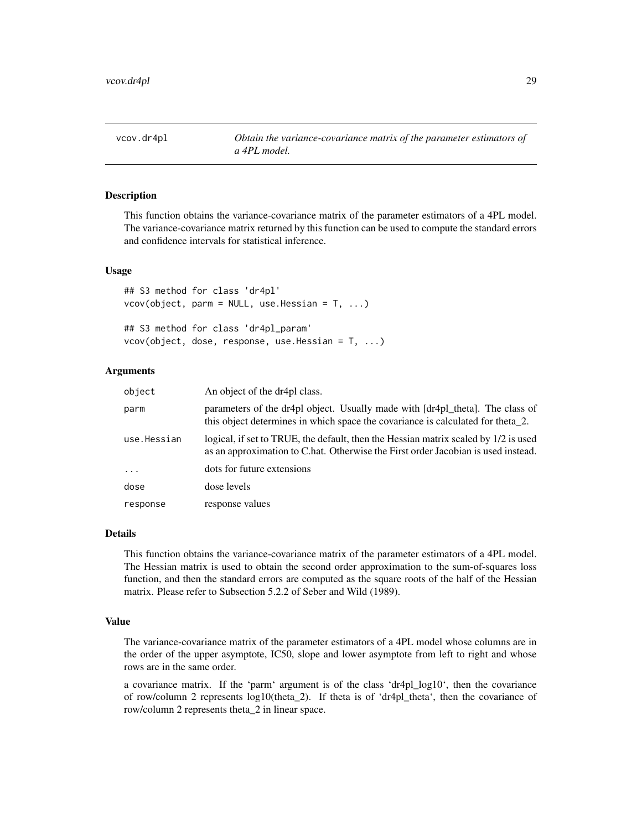<span id="page-28-0"></span>vcov.dr4pl *Obtain the variance-covariance matrix of the parameter estimators of a 4PL model.*

# Description

This function obtains the variance-covariance matrix of the parameter estimators of a 4PL model. The variance-covariance matrix returned by this function can be used to compute the standard errors and confidence intervals for statistical inference.

#### Usage

```
## S3 method for class 'dr4pl'
vcov(object, parm = NULL, use. Hessian = T, ...)## S3 method for class 'dr4pl_param'
```

|  | ## 33 Method for class dr4pi_param |                                                    |  |
|--|------------------------------------|----------------------------------------------------|--|
|  |                                    | $vcov(object, dose, response, use. Hessian = T, )$ |  |

# Arguments

| object      | An object of the dr4pl class.                                                                                                                                                |
|-------------|------------------------------------------------------------------------------------------------------------------------------------------------------------------------------|
| parm        | parameters of the dr4pl object. Usually made with [dr4pl_theta]. The class of<br>this object determines in which space the covariance is calculated for theta <sub>2</sub> . |
| use.Hessian | logical, if set to TRUE, the default, then the Hessian matrix scaled by 1/2 is used<br>as an approximation to C.hat. Otherwise the First order Jacobian is used instead.     |
| $\cdots$    | dots for future extensions                                                                                                                                                   |
| dose        | dose levels                                                                                                                                                                  |
| response    | response values                                                                                                                                                              |

#### Details

This function obtains the variance-covariance matrix of the parameter estimators of a 4PL model. The Hessian matrix is used to obtain the second order approximation to the sum-of-squares loss function, and then the standard errors are computed as the square roots of the half of the Hessian matrix. Please refer to Subsection 5.2.2 of Seber and Wild (1989).

# Value

The variance-covariance matrix of the parameter estimators of a 4PL model whose columns are in the order of the upper asymptote, IC50, slope and lower asymptote from left to right and whose rows are in the same order.

a covariance matrix. If the 'parm' argument is of the class 'dr4pl\_log10', then the covariance of row/column 2 represents log10(theta\_2). If theta is of 'dr4pl\_theta', then the covariance of row/column 2 represents theta\_2 in linear space.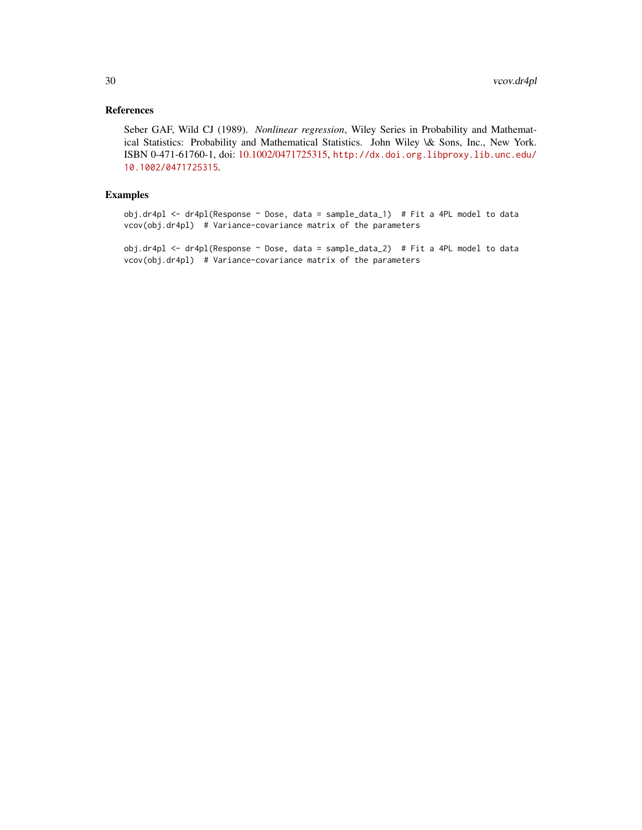# References

Seber GAF, Wild CJ (1989). *Nonlinear regression*, Wiley Series in Probability and Mathematical Statistics: Probability and Mathematical Statistics. John Wiley \& Sons, Inc., New York. ISBN 0-471-61760-1, doi: [10.1002/0471725315,](https://doi.org/10.1002/0471725315) [http://dx.doi.org.libproxy.lib.unc.edu/](http://dx.doi.org.libproxy.lib.unc.edu/10.1002/0471725315) [10.1002/0471725315](http://dx.doi.org.libproxy.lib.unc.edu/10.1002/0471725315).

# Examples

obj.dr4pl <- dr4pl(Response ~ Dose, data = sample\_data\_1) # Fit a 4PL model to data vcov(obj.dr4pl) # Variance-covariance matrix of the parameters

obj.dr4pl <- dr4pl(Response ~ Dose, data = sample\_data\_2) # Fit a 4PL model to data vcov(obj.dr4pl) # Variance-covariance matrix of the parameters